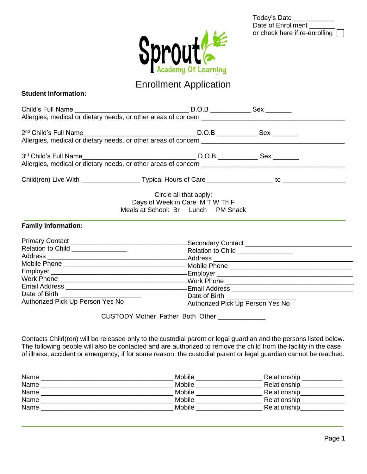| Today's Date                    |  |
|---------------------------------|--|
| Date of Enrollment              |  |
| or check here if re-enrolling [ |  |



# Enrollment Application

| <b>Student Information:</b> |
|-----------------------------|
|-----------------------------|

|                                                                                                                                                                                                                                                                                                                                                           | Circle all that apply:<br>Days of Week in Care: M T W Th F<br>Meals at School: Br Lunch PM Snack |                                                                       |  |
|-----------------------------------------------------------------------------------------------------------------------------------------------------------------------------------------------------------------------------------------------------------------------------------------------------------------------------------------------------------|--------------------------------------------------------------------------------------------------|-----------------------------------------------------------------------|--|
| <b>Family Information:</b>                                                                                                                                                                                                                                                                                                                                |                                                                                                  |                                                                       |  |
| Relation to Child <b>Relation</b> to Child<br>Authorized Pick Up Person Yes No                                                                                                                                                                                                                                                                            | CUSTODY Mother Father Both Other _____________                                                   | Relation to Child _______________<br>Authorized Pick Up Person Yes No |  |
| Contacts Child(ren) will be released only to the custodial parent or legal guardian and the persons listed below.<br>The following people will also be contacted and are authorized to remove the child from the facility in the case<br>of illness, accident or emergency, if for some reason, the custodial parent or legal guardian cannot be reached. |                                                                                                  |                                                                       |  |
|                                                                                                                                                                                                                                                                                                                                                           |                                                                                                  |                                                                       |  |

| Name | Mobile | Relationship |
|------|--------|--------------|
| Name | Mobile | Relationship |
| Name | Mobile | Relationship |
| Name | Mobile | Relationship |
| Name | Mobile | Relationship |
|      |        |              |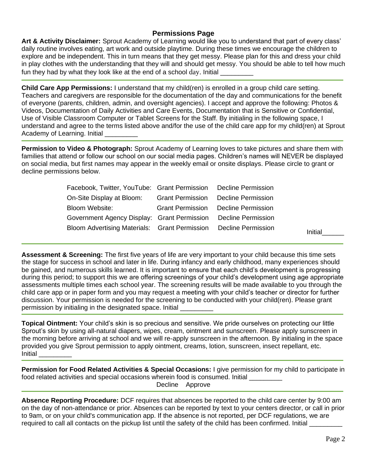## **Permissions Page**

**Art & Activity Disclaimer:** Sprout Academy of Learning would like you to understand that part of every class' daily routine involves eating, art work and outside playtime. During these times we encourage the children to explore and be independent. This in turn means that they get messy. Please plan for this and dress your child in play clothes with the understanding that they will and should get messy. You should be able to tell how much fun they had by what they look like at the end of a school day. Initial

**Child Care App Permissions:** I understand that my child(ren) is enrolled in a group child care setting. Teachers and caregivers are responsible for the documentation of the day and communications for the benefit of everyone (parents, children, admin, and oversight agencies). I accept and approve the following: Photos & Videos, Documentation of Daily Activities and Care Events, Documentation that is Sensitive or Confidential, Use of Visible Classroom Computer or Tablet Screens for the Staff. By initialing in the following space, I understand and agree to the terms listed above and/for the use of the child care app for my child(ren) at Sprout Academy of Learning. Initial

**Permission to Video & Photograph:** Sprout Academy of Learning loves to take pictures and share them with families that attend or follow our school on our social media pages. Children's names will NEVER be displayed on social media, but first names may appear in the weekly email or onsite displays. Please circle to grant or decline permissions below.

| Facebook, Twitter, YouTube: Grant Permission Decline Permission  |                                            |                                            |         |
|------------------------------------------------------------------|--------------------------------------------|--------------------------------------------|---------|
| On-Site Display at Bloom:                                        | <b>Grant Permission</b> Decline Permission |                                            |         |
| Bloom Website:                                                   |                                            | <b>Grant Permission</b> Decline Permission |         |
| Government Agency Display: Grant Permission Decline Permission   |                                            |                                            |         |
| Bloom Advertising Materials: Grant Permission Decline Permission |                                            |                                            | Initial |

**Assessment & Screening:** The first five years of life are very important to your child because this time sets the stage for success in school and later in life. During infancy and early childhood, many experiences should be gained, and numerous skills learned. It is important to ensure that each child's development is progressing during this period; to support this we are offering screenings of your child's development using age appropriate assessments multiple times each school year. The screening results will be made available to you through the child care app or in paper form and you may request a meeting with your child's teacher or director for further discussion. Your permission is needed for the screening to be conducted with your child(ren). Please grant permission by initialing in the designated space. Initial

**Topical Ointment:** Your child's skin is so precious and sensitive. We pride ourselves on protecting our little Sprout's skin by using all-natural diapers, wipes, cream, ointment and sunscreen. Please apply sunscreen in the morning before arriving at school and we will re-apply sunscreen in the afternoon. By initialing in the space provided you give Sprout permission to apply ointment, creams, lotion, sunscreen, insect repellant, etc. Initial \_\_\_\_\_\_\_\_\_

**Permission for Food Related Activities & Special Occasions:** I give permission for my child to participate in food related activities and special occasions wherein food is consumed. Initial Decline Approve

**Absence Reporting Procedure:** DCF requires that absences be reported to the child care center by 9:00 am on the day of non-attendance or prior. Absences can be reported by text to your centers director, or call in prior to 9am, or on your child's communication app. If the absence is not reported, per DCF regulations, we are required to call all contacts on the pickup list until the safety of the child has been confirmed. Initial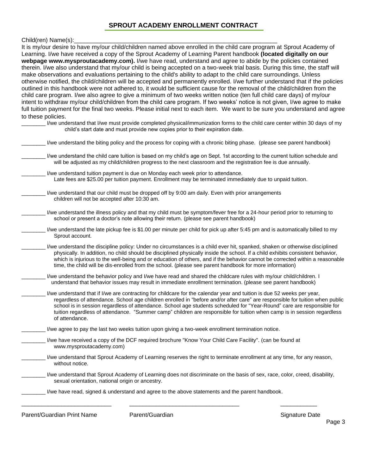# **SPROUT ACADEMY ENROLLMENT CONTRACT**

#### Child(ren) Name(s):

| It is my/our desire to have my/our child/children named above enrolled in the child care program at Sprout Academy of<br>Learning. I/we have received a copy of the Sprout Academy of Learning Parent handbook (located digitally on our                                                                                                                                                                                                                                                                                                                                                                                                                                                                                                                                                                                                                                                                                                                                                                                  |
|---------------------------------------------------------------------------------------------------------------------------------------------------------------------------------------------------------------------------------------------------------------------------------------------------------------------------------------------------------------------------------------------------------------------------------------------------------------------------------------------------------------------------------------------------------------------------------------------------------------------------------------------------------------------------------------------------------------------------------------------------------------------------------------------------------------------------------------------------------------------------------------------------------------------------------------------------------------------------------------------------------------------------|
| webpage www.mysproutacademy.com). I/we have read, understand and agree to abide by the policies contained<br>therein. I/we also understand that my/our child is being accepted on a two-week trial basis. During this time, the staff will<br>make observations and evaluations pertaining to the child's ability to adapt to the child care surroundings. Unless<br>otherwise notified, the child/children will be accepted and permanently enrolled. I/we further understand that if the policies<br>outlined in this handbook were not adhered to, it would be sufficient cause for the removal of the child/children from the<br>child care program. I/we also agree to give a minimum of two weeks written notice (ten full child care days) of my/our<br>intent to withdraw my/our child/children from the child care program. If two weeks' notice is not given, I/we agree to make<br>full tuition payment for the final two weeks. Please initial next to each item. We want to be sure you understand and agree |
| to these policies.<br>I/we understand that I/we must provide completed physical/immunization forms to the child care center within 30 days of my<br>child's start date and must provide new copies prior to their expiration date.                                                                                                                                                                                                                                                                                                                                                                                                                                                                                                                                                                                                                                                                                                                                                                                        |
| I/we understand the biting policy and the process for coping with a chronic biting phase. (please see parent handbook)                                                                                                                                                                                                                                                                                                                                                                                                                                                                                                                                                                                                                                                                                                                                                                                                                                                                                                    |
| I/we understand the child care tuition is based on my child's age on Sept. 1st according to the current tuition schedule and<br>will be adjusted as my child/children progress to the next classroom and the registration fee is due annually.                                                                                                                                                                                                                                                                                                                                                                                                                                                                                                                                                                                                                                                                                                                                                                            |
| I/we understand tuition payment is due on Monday each week prior to attendance.<br>Late fees are \$25.00 per tuition payment. Enrollment may be terminated immediately due to unpaid tuition.                                                                                                                                                                                                                                                                                                                                                                                                                                                                                                                                                                                                                                                                                                                                                                                                                             |
| I/we understand that our child must be dropped off by 9:00 am daily. Even with prior arrangements<br>children will not be accepted after 10:30 am.                                                                                                                                                                                                                                                                                                                                                                                                                                                                                                                                                                                                                                                                                                                                                                                                                                                                        |
| I/we understand the illness policy and that my child must be symptom/fever free for a 24-hour period prior to returning to<br>school or present a doctor's note allowing their return. (please see parent handbook)                                                                                                                                                                                                                                                                                                                                                                                                                                                                                                                                                                                                                                                                                                                                                                                                       |
| I/we understand the late pickup fee is \$1.00 per minute per child for pick up after 5:45 pm and is automatically billed to my<br>Sprout account.                                                                                                                                                                                                                                                                                                                                                                                                                                                                                                                                                                                                                                                                                                                                                                                                                                                                         |
| I/we understand the discipline policy: Under no circumstances is a child ever hit, spanked, shaken or otherwise disciplined<br>physically. In addition, no child should be disciplined physically inside the school. If a child exhibits consistent behavior,<br>which is injurious to the well-being and or education of others, and if the behavior cannot be corrected within a reasonable<br>time, the child will be dis-enrolled from the school. (please see parent handbook for more information)                                                                                                                                                                                                                                                                                                                                                                                                                                                                                                                  |
| I/we understand the behavior policy and I/we have read and shared the childcare rules with my/our child/children. I<br>understand that behavior issues may result in immediate enrollment termination. (please see parent handbook)                                                                                                                                                                                                                                                                                                                                                                                                                                                                                                                                                                                                                                                                                                                                                                                       |
| I/we understand that if I/we are contracting for childcare for the calendar year and tuition is due 52 weeks per year,<br>regardless of attendance. School age children enrolled in "before and/or after care" are responsible for tuition when public<br>school is in session regardless of attendance. School age students scheduled for "Year-Round" care are responsible for<br>tuition regardless of attendance. "Summer camp" children are responsible for tuition when camp is in session regardless<br>of attendance.                                                                                                                                                                                                                                                                                                                                                                                                                                                                                             |
| I/we agree to pay the last two weeks tuition upon giving a two-week enrollment termination notice.                                                                                                                                                                                                                                                                                                                                                                                                                                                                                                                                                                                                                                                                                                                                                                                                                                                                                                                        |
| I/we have received a copy of the DCF required brochure "Know Your Child Care Facility". (can be found at<br>www.mysproutacademy.com)                                                                                                                                                                                                                                                                                                                                                                                                                                                                                                                                                                                                                                                                                                                                                                                                                                                                                      |
| I/we understand that Sprout Academy of Learning reserves the right to terminate enrollment at any time, for any reason,<br>without notice.                                                                                                                                                                                                                                                                                                                                                                                                                                                                                                                                                                                                                                                                                                                                                                                                                                                                                |
| I/we understand that Sprout Academy of Learning does not discriminate on the basis of sex, race, color, creed, disability,<br>sexual orientation, national origin or ancestry.                                                                                                                                                                                                                                                                                                                                                                                                                                                                                                                                                                                                                                                                                                                                                                                                                                            |
| I/we have read, signed & understand and agree to the above statements and the parent handbook.                                                                                                                                                                                                                                                                                                                                                                                                                                                                                                                                                                                                                                                                                                                                                                                                                                                                                                                            |
|                                                                                                                                                                                                                                                                                                                                                                                                                                                                                                                                                                                                                                                                                                                                                                                                                                                                                                                                                                                                                           |

Parent/Guardian Print Name Parent/Guardian Parent/Guardian Signature Date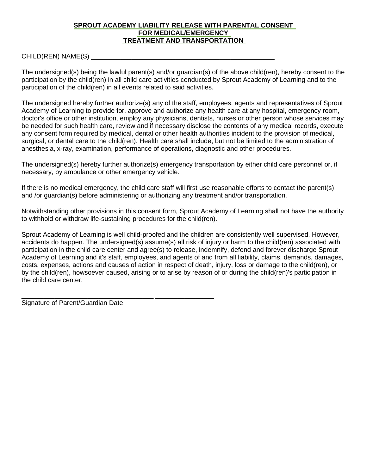#### **SPROUT ACADEMY LIABILITY RELEASE WITH PARENTAL CONSENT FOR MEDICAL/EMERGENCY TREATMENT AND TRANSPORTATION**

#### CHILD(REN) NAME(S) \_\_\_\_\_\_\_\_\_\_\_\_\_\_\_\_\_\_\_\_\_\_\_\_\_\_\_\_\_\_\_\_\_\_\_\_\_\_\_\_\_\_\_\_\_\_\_\_\_\_

The undersigned(s) being the lawful parent(s) and/or guardian(s) of the above child(ren), hereby consent to the participation by the child(ren) in all child care activities conducted by Sprout Academy of Learning and to the participation of the child(ren) in all events related to said activities.

The undersigned hereby further authorize(s) any of the staff, employees, agents and representatives of Sprout Academy of Learning to provide for, approve and authorize any health care at any hospital, emergency room, doctor's office or other institution, employ any physicians, dentists, nurses or other person whose services may be needed for such health care, review and if necessary disclose the contents of any medical records, execute any consent form required by medical, dental or other health authorities incident to the provision of medical, surgical, or dental care to the child(ren). Health care shall include, but not be limited to the administration of anesthesia, x-ray, examination, performance of operations, diagnostic and other procedures.

The undersigned(s) hereby further authorize(s) emergency transportation by either child care personnel or, if necessary, by ambulance or other emergency vehicle.

If there is no medical emergency, the child care staff will first use reasonable efforts to contact the parent(s) and /or guardian(s) before administering or authorizing any treatment and/or transportation.

Notwithstanding other provisions in this consent form, Sprout Academy of Learning shall not have the authority to withhold or withdraw life-sustaining procedures for the child(ren).

Sprout Academy of Learning is well child-proofed and the children are consistently well supervised. However, accidents do happen. The undersigned(s) assume(s) all risk of injury or harm to the child(ren) associated with participation in the child care center and agree(s) to release, indemnify, defend and forever discharge Sprout Academy of Learning and it's staff, employees, and agents of and from all liability, claims, demands, damages, costs, expenses, actions and causes of action in respect of death, injury, loss or damage to the child(ren), or by the child(ren), howsoever caused, arising or to arise by reason of or during the child(ren)'s participation in the child care center.

Signature of Parent/Guardian Date

\_\_\_\_\_\_\_\_\_\_\_\_\_\_\_\_\_\_\_\_\_\_\_\_\_\_\_\_\_\_\_\_\_\_\_\_ \_\_\_\_\_\_\_\_\_\_\_\_\_\_\_\_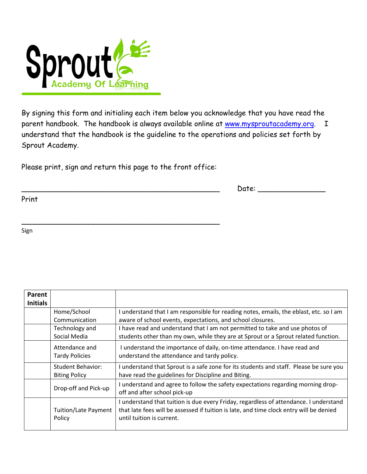

By signing this form and initialing each item below you acknowledge that you have read the parent handbook. The handbook is always available online at [www.mysproutacademy.org.](http://www.mysproutacademy.org/) I understand that the handbook is the guideline to the operations and policies set forth by Sprout Academy.

Please print, sign and return this page to the front office:

\_\_\_\_\_\_\_\_\_\_\_\_\_\_\_\_\_\_\_\_\_\_\_\_\_\_\_\_\_\_\_\_\_\_\_\_\_\_\_\_\_\_\_\_

 $Date:$ 

Print

Sign

| Parent          |                                       |                                                                                                                                                                                                               |
|-----------------|---------------------------------------|---------------------------------------------------------------------------------------------------------------------------------------------------------------------------------------------------------------|
| <b>Initials</b> |                                       |                                                                                                                                                                                                               |
|                 | Home/School                           | I understand that I am responsible for reading notes, emails, the eblast, etc. so I am                                                                                                                        |
|                 | Communication                         | aware of school events, expectations, and school closures.                                                                                                                                                    |
|                 | Technology and                        | I have read and understand that I am not permitted to take and use photos of                                                                                                                                  |
|                 | Social Media                          | students other than my own, while they are at Sprout or a Sprout related function.                                                                                                                            |
|                 | Attendance and                        | I understand the importance of daily, on-time attendance. I have read and                                                                                                                                     |
|                 | <b>Tardy Policies</b>                 | understand the attendance and tardy policy.                                                                                                                                                                   |
|                 | Student Behavior:                     | I understand that Sprout is a safe zone for its students and staff. Please be sure you                                                                                                                        |
|                 | <b>Biting Policy</b>                  | have read the guidelines for Discipline and Biting.                                                                                                                                                           |
|                 | Drop-off and Pick-up                  | I understand and agree to follow the safety expectations regarding morning drop-<br>off and after school pick-up                                                                                              |
|                 | <b>Tuition/Late Payment</b><br>Policy | I understand that tuition is due every Friday, regardless of attendance. I understand<br>that late fees will be assessed if tuition is late, and time clock entry will be denied<br>until tuition is current. |